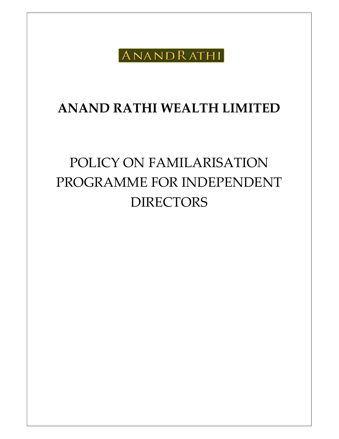ANANDRATHI

## ANAND RATHI WEALTH LIMITED

# POLICY ON FAMILARISATION PROGRAMME FOR INDEPENDENT DIRECTORS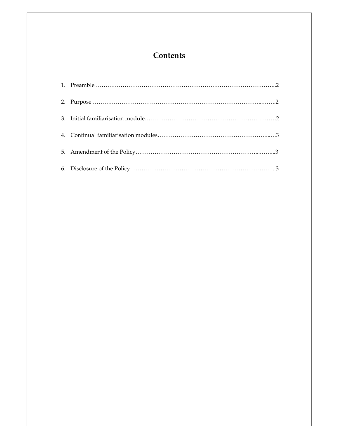### **Contents**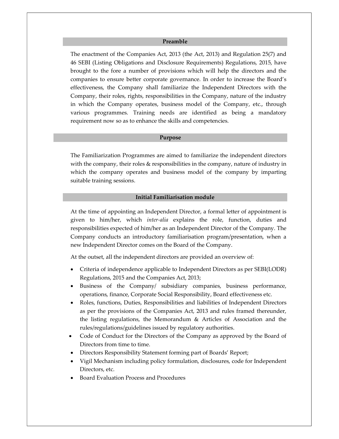#### Preamble

The enactment of the Companies Act, 2013 (the Act, 2013) and Regulation 25(7) and 46 SEBI (Listing Obligations and Disclosure Requirements) Regulations, 2015, have brought to the fore a number of provisions which will help the directors and the companies to ensure better corporate governance. In order to increase the Board's effectiveness, the Company shall familiarize the Independent Directors with the Company, their roles, rights, responsibilities in the Company, nature of the industry in which the Company operates, business model of the Company, etc., through various programmes. Training needs are identified as being a mandatory requirement now so as to enhance the skills and competencies.

#### Purpose

The Familiarization Programmes are aimed to familiarize the independent directors with the company, their roles & responsibilities in the company, nature of industry in which the company operates and business model of the company by imparting suitable training sessions.

#### Initial Familiarisation module

At the time of appointing an Independent Director, a formal letter of appointment is given to him/her, which inter-alia explains the role, function, duties and responsibilities expected of him/her as an Independent Director of the Company. The Company conducts an introductory familiarisation program/presentation, when a new Independent Director comes on the Board of the Company.

At the outset, all the independent directors are provided an overview of:

- Criteria of independence applicable to Independent Directors as per SEBI(LODR) Regulations, 2015 and the Companies Act, 2013;
- Business of the Company/ subsidiary companies, business performance, operations, finance, Corporate Social Responsibility, Board effectiveness etc.
- Roles, functions, Duties, Responsibilities and liabilities of Independent Directors as per the provisions of the Companies Act, 2013 and rules framed thereunder, the listing regulations, the Memorandum & Articles of Association and the rules/regulations/guidelines issued by regulatory authorities.
- Code of Conduct for the Directors of the Company as approved by the Board of Directors from time to time.
- Directors Responsibility Statement forming part of Boards' Report;
- Vigil Mechanism including policy formulation, disclosures, code for Independent Directors, etc.
- Board Evaluation Process and Procedures